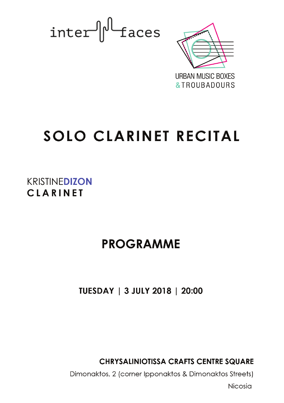inter dues



# **SOLO CLARINET RECITAL**

**KRISTINFDIZON** CLARINET

# PROGRAMME

TUESDAY | 3 JULY 2018 | 20:00

**CHRYSALINIOTISSA CRAFTS CENTRE SQUARE** 

Dimonaktos, 2 (corner Ipponaktos & Dimonaktos Streets)

Nicosia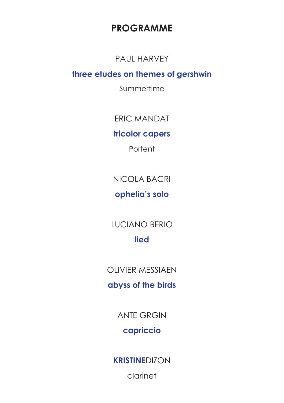## **PROGRAMME**

### PAUI HARVFY

### three etudes on themes of gershwin

Summertime

**FRIC MANDAT** 

### tricolor capers

Portent

NICOI A BACRI

### ophelia's solo

**LUCIANO BERIO** lied

# **OLIVIER MESSIAEN**

# abyss of the birds

**ANTE GRGIN** 

### capriccio

**KRISTINEDIZON** 

clarinet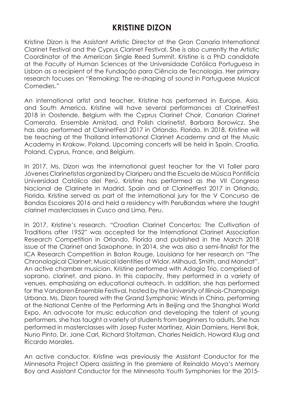### **KRISTINE DIZON**

Kristine Dizon is the Assistant Artistic Director at the Gran Canaria International Clarinet Festival and the Cyprus Clarinet Festival. She is also currently the Artistic Coordinator of the American Single Reed Summit. Kristine is a PhD candidate at the Faculty of Human Sciences at the Universidade Católica Portuguesa in Lisbon as a recipient of the Fundação para Ciência de Tecnologia. Her primary research focuses on "Remaking: The re-shaping of sound in Portuguese Musical Comedies."

An international artist and teacher, Kristine has performed in Europe, Asia, and South America. Kristine will have several performances at ClarinetFest 2018 in Oostende, Belgium with the Cyprus Clarinet Choir, Canarian Clarinet Camerata, Ensemble Amistad, and Polish clarinetist, Barbara Borowicz. She has also performed at ClarinetFest 2017 in Orlando, Florida. In 2018, Kristine will be teaching at the Thailand International Clarinet Academy and at the Music Academy in Krakow, Poland. Upcoming concerts will be held in Spain, Croatia, Poland, Cyprus, France, and Belgium.

In 2017, Ms. Dizon was the international guest teacher for the VI Taller para Jóvenes Clarinetistas organized by Clariperu and the Escuela de Música Pontificia Universidad Católica del Perú. Kristine has performed as the VII Congreso Nacional de Clarinete in Madrid, Spain and at ClarinetFest 2017 in Orlando, Florida. Kristine served as part of the international jury for the V Concurso de Bandas Escolares 2016 and held a residency with PeruBandas where she taught clarinet masterclasses in Cusco and Lima, Peru.

In 2017, Kristine's research, "Croatian Clarinet Concertos: The Cultivation of Traditions after 1952" was accepted for the International Clarinet Association Research Competition in Orlando, Florida and published in the March 2018 issue of the Clarinet and Saxophone. In 2014, she was also a semi-finalist for the ICA Research Competition in Baton Rouge, Louisiana for her research on "The Chronological Clarinet: Musical Identities of Widor, Milhaud, Smith, and Mandat". An active chamber musician, Kristine performed with Adagio Trio, comprised of soprano, clarinet, and piano. In this capacity, they performed in a variety of venues, emphasizing on educational outreach. In addition, she has performed for the Vandoren Ensemble Festival, hosted by the University of Illinois-Champaign Urbana. Ms. Dizon toured with the Grand Symphonic Winds in China, performing at the National Centre of the Performing Arts in Beijing and the Shanghai World Expo. An advocate for music education and developing the talent of young performers, she has taught a variety of students from beginners to adults. She has performed in masterclasses with Josep Fuster Martinez, Alain Damiens, Henri Bok, Nuno Pinto, Dr. Jane Carl, Richard Stoltzman, Charles Neidich, Howard Klug and Ricardo Morales.

An active conductor, Kristine was previously the Assistant Conductor for the Minnesota Project Opera assisting in the premiere of Reinaldo Moya's Memory Boy and Assistant Conductor for the Minnesota Youth Symphonies for the 2015